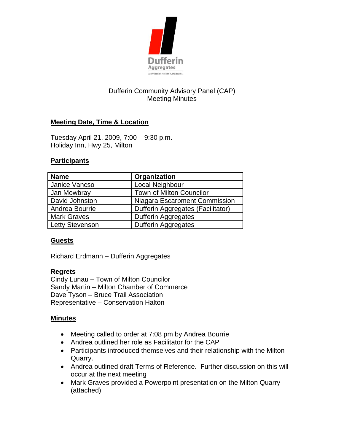

# Dufferin Community Advisory Panel (CAP) Meeting Minutes

# **Meeting Date, Time & Location**

Tuesday April 21, 2009, 7:00 – 9:30 p.m. Holiday Inn, Hwy 25, Milton

#### **Participants**

| <b>Name</b>            | Organization                      |
|------------------------|-----------------------------------|
| Janice Vancso          | Local Neighbour                   |
| Jan Mowbray            | Town of Milton Councilor          |
| David Johnston         | Niagara Escarpment Commission     |
| Andrea Bourrie         | Dufferin Aggregates (Facilitator) |
| <b>Mark Graves</b>     | <b>Dufferin Aggregates</b>        |
| <b>Letty Stevenson</b> | <b>Dufferin Aggregates</b>        |

### **Guests**

Richard Erdmann – Dufferin Aggregates

### **Regrets**

Cindy Lunau – Town of Milton Councilor Sandy Martin – Milton Chamber of Commerce Dave Tyson – Bruce Trail Association Representative – Conservation Halton

#### **Minutes**

- Meeting called to order at 7:08 pm by Andrea Bourrie
- Andrea outlined her role as Facilitator for the CAP
- Participants introduced themselves and their relationship with the Milton Quarry.
- Andrea outlined draft Terms of Reference. Further discussion on this will occur at the next meeting
- Mark Graves provided a Powerpoint presentation on the Milton Quarry (attached)